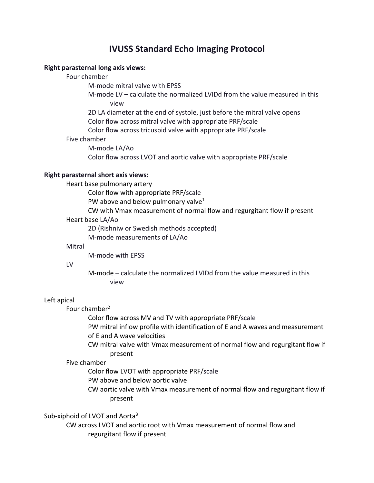# **IVUSS Standard Echo Imaging Protocol**

# **Right parasternal long axis views:**

# Four chamber

M-mode mitral valve with EPSS

M-mode LV – calculate the normalized LVIDd from the value measured in this view

2D LA diameter at the end of systole, just before the mitral valve opens Color flow across mitral valve with appropriate PRF/scale

Color flow across tricuspid valve with appropriate PRF/scale

#### Five chamber

M-mode LA/Ao Color flow across LVOT and aortic valve with appropriate PRF/scale

# **Right parasternal short axis views:**

Heart base pulmonary artery

Color flow with appropriate PRF/scale

PW above and below pulmonary valve $1$ 

CW with Vmax measurement of normal flow and regurgitant flow if present Heart base LA/Ao

2D (Rishniw or Swedish methods accepted)

M-mode measurements of LA/Ao

#### Mitral

M-mode with EPSS

#### LV

M-mode – calculate the normalized LVIDd from the value measured in this view

# Left apical

Four chamber<sup>2</sup>

Color flow across MV and TV with appropriate PRF/scale

PW mitral inflow profile with identification of E and A waves and measurement of E and A wave velocities

CW mitral valve with Vmax measurement of normal flow and regurgitant flow if present

# Five chamber

Color flow LVOT with appropriate PRF/scale

PW above and below aortic valve

CW aortic valve with Vmax measurement of normal flow and regurgitant flow if present

Sub-xiphoid of LVOT and Aorta<sup>3</sup>

CW across LVOT and aortic root with Vmax measurement of normal flow and regurgitant flow if present